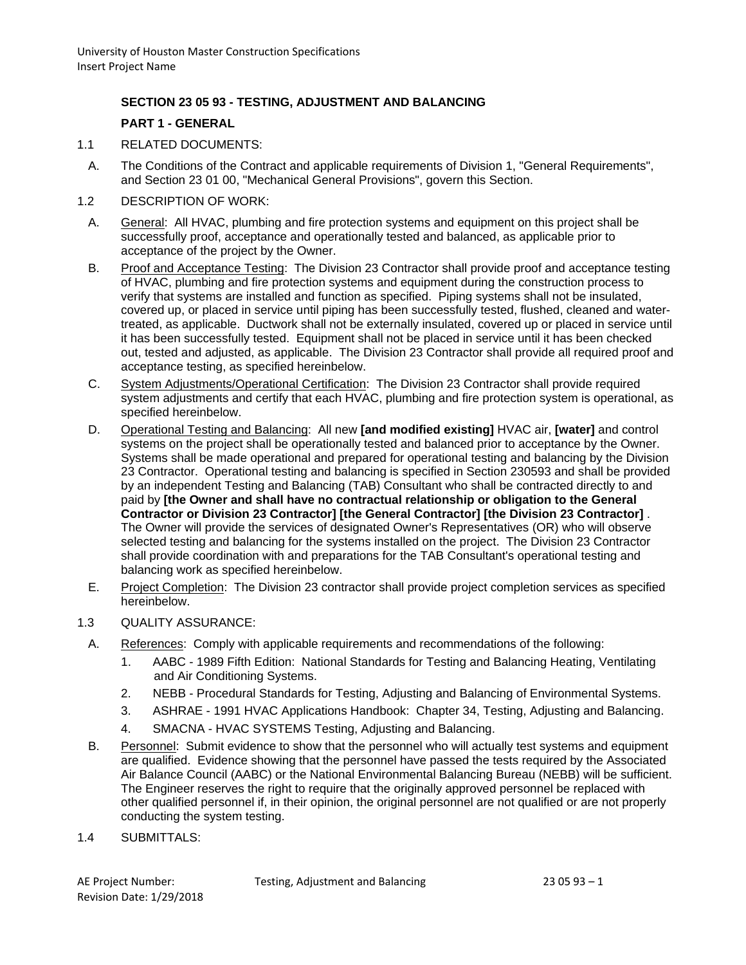# **SECTION 23 05 93 - TESTING, ADJUSTMENT AND BALANCING**

#### **PART 1 - GENERAL**

- 1.1 RELATED DOCUMENTS:
	- A. The Conditions of the Contract and applicable requirements of Division 1, "General Requirements", and Section 23 01 00, "Mechanical General Provisions", govern this Section.
- 1.2 DESCRIPTION OF WORK:
	- A. General: All HVAC, plumbing and fire protection systems and equipment on this project shall be successfully proof, acceptance and operationally tested and balanced, as applicable prior to acceptance of the project by the Owner.
	- B. Proof and Acceptance Testing: The Division 23 Contractor shall provide proof and acceptance testing of HVAC, plumbing and fire protection systems and equipment during the construction process to verify that systems are installed and function as specified. Piping systems shall not be insulated, covered up, or placed in service until piping has been successfully tested, flushed, cleaned and watertreated, as applicable. Ductwork shall not be externally insulated, covered up or placed in service until it has been successfully tested. Equipment shall not be placed in service until it has been checked out, tested and adjusted, as applicable. The Division 23 Contractor shall provide all required proof and acceptance testing, as specified hereinbelow.
	- C. System Adjustments/Operational Certification: The Division 23 Contractor shall provide required system adjustments and certify that each HVAC, plumbing and fire protection system is operational, as specified hereinbelow.
	- D. Operational Testing and Balancing: All new **[and modified existing]** HVAC air, **[water]** and control systems on the project shall be operationally tested and balanced prior to acceptance by the Owner. Systems shall be made operational and prepared for operational testing and balancing by the Division 23 Contractor. Operational testing and balancing is specified in Section 230593 and shall be provided by an independent Testing and Balancing (TAB) Consultant who shall be contracted directly to and paid by **[the Owner and shall have no contractual relationship or obligation to the General Contractor or Division 23 Contractor] [the General Contractor] [the Division 23 Contractor]** . The Owner will provide the services of designated Owner's Representatives (OR) who will observe selected testing and balancing for the systems installed on the project. The Division 23 Contractor shall provide coordination with and preparations for the TAB Consultant's operational testing and balancing work as specified hereinbelow.
	- E. Project Completion: The Division 23 contractor shall provide project completion services as specified hereinbelow.
- 1.3 QUALITY ASSURANCE:
	- A. References: Comply with applicable requirements and recommendations of the following:
		- 1. AABC 1989 Fifth Edition: National Standards for Testing and Balancing Heating, Ventilating and Air Conditioning Systems.
		- 2. NEBB Procedural Standards for Testing, Adjusting and Balancing of Environmental Systems.
		- 3. ASHRAE 1991 HVAC Applications Handbook: Chapter 34, Testing, Adjusting and Balancing.
		- 4. SMACNA HVAC SYSTEMS Testing, Adjusting and Balancing.
	- B. Personnel: Submit evidence to show that the personnel who will actually test systems and equipment are qualified. Evidence showing that the personnel have passed the tests required by the Associated Air Balance Council (AABC) or the National Environmental Balancing Bureau (NEBB) will be sufficient. The Engineer reserves the right to require that the originally approved personnel be replaced with other qualified personnel if, in their opinion, the original personnel are not qualified or are not properly conducting the system testing.
- 1.4 SUBMITTALS: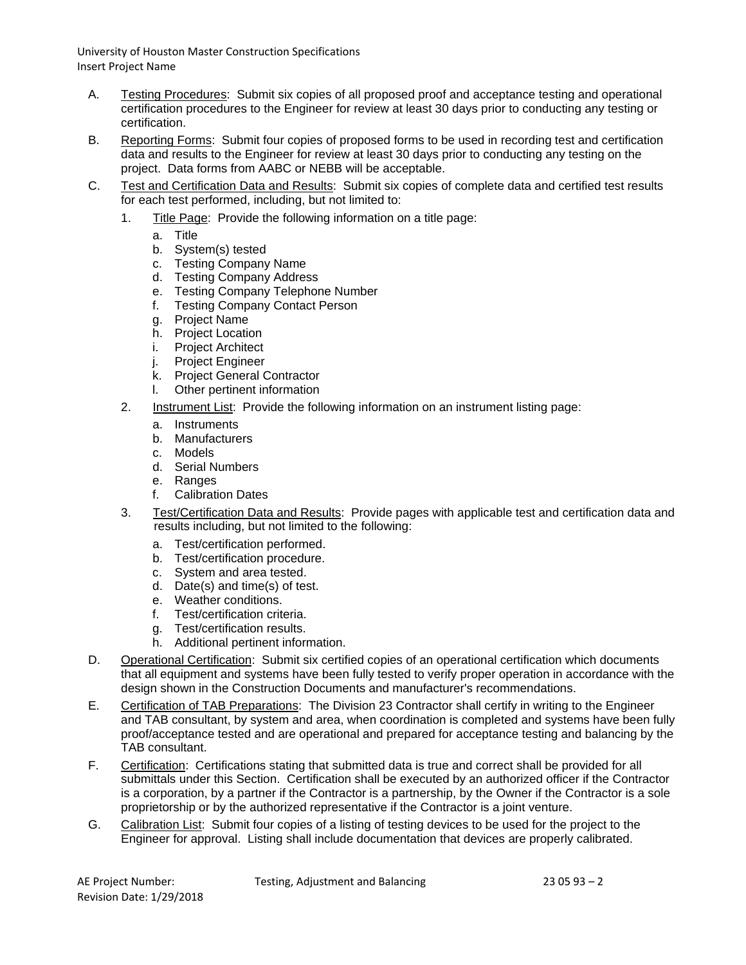- A. Testing Procedures: Submit six copies of all proposed proof and acceptance testing and operational certification procedures to the Engineer for review at least 30 days prior to conducting any testing or certification.
- B. Reporting Forms: Submit four copies of proposed forms to be used in recording test and certification data and results to the Engineer for review at least 30 days prior to conducting any testing on the project. Data forms from AABC or NEBB will be acceptable.
- C. Test and Certification Data and Results: Submit six copies of complete data and certified test results for each test performed, including, but not limited to:
	- 1. Title Page: Provide the following information on a title page:
		- a. Title
		- b. System(s) tested
		- c. Testing Company Name
		- d. Testing Company Address
		- e. Testing Company Telephone Number
		- f. Testing Company Contact Person
		- g. Project Name
		- h. Project Location
		- i. Project Architect
		- j. Project Engineer
		- k. Project General Contractor
		- l. Other pertinent information
	- 2. Instrument List: Provide the following information on an instrument listing page:
		- a. Instruments
		- b. Manufacturers
		- c. Models
		- d. Serial Numbers
		- e. Ranges
		- f. Calibration Dates
	- 3. Test/Certification Data and Results: Provide pages with applicable test and certification data and results including, but not limited to the following:
		- a. Test/certification performed.
		- b. Test/certification procedure.
		- c. System and area tested.
		- d. Date(s) and time(s) of test.
		- e. Weather conditions.
		- f. Test/certification criteria.
		- g. Test/certification results.
		- h. Additional pertinent information.
- D. Operational Certification: Submit six certified copies of an operational certification which documents that all equipment and systems have been fully tested to verify proper operation in accordance with the design shown in the Construction Documents and manufacturer's recommendations.
- E. Certification of TAB Preparations: The Division 23 Contractor shall certify in writing to the Engineer and TAB consultant, by system and area, when coordination is completed and systems have been fully proof/acceptance tested and are operational and prepared for acceptance testing and balancing by the TAB consultant.
- F. Certification: Certifications stating that submitted data is true and correct shall be provided for all submittals under this Section. Certification shall be executed by an authorized officer if the Contractor is a corporation, by a partner if the Contractor is a partnership, by the Owner if the Contractor is a sole proprietorship or by the authorized representative if the Contractor is a joint venture.
- G. Calibration List: Submit four copies of a listing of testing devices to be used for the project to the Engineer for approval. Listing shall include documentation that devices are properly calibrated.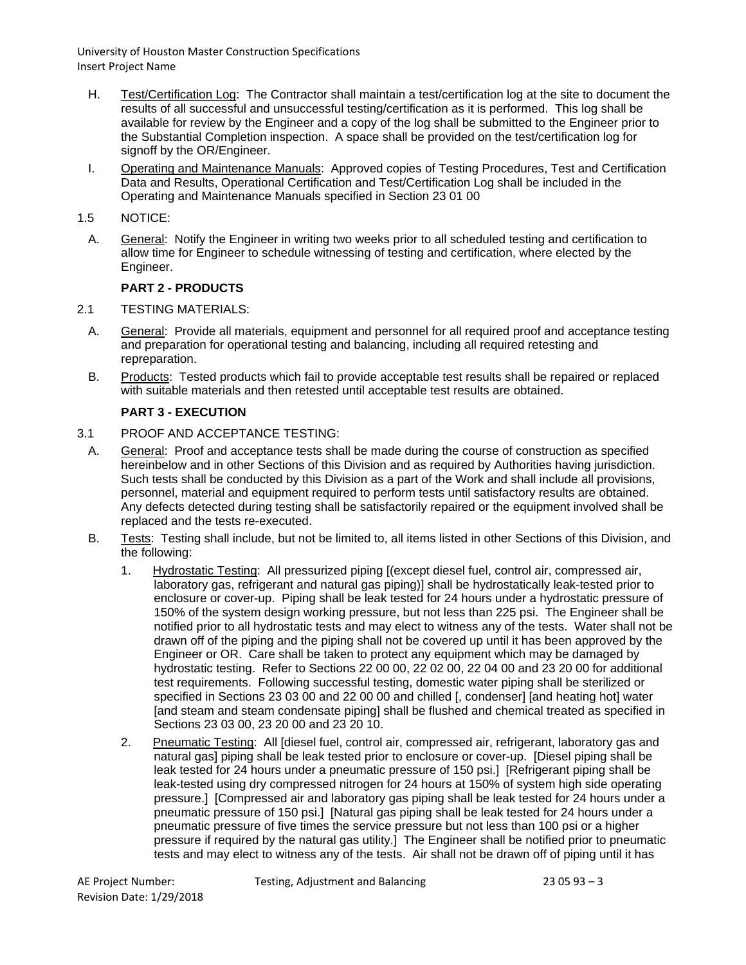- H. Test/Certification Log: The Contractor shall maintain a test/certification log at the site to document the results of all successful and unsuccessful testing/certification as it is performed. This log shall be available for review by the Engineer and a copy of the log shall be submitted to the Engineer prior to the Substantial Completion inspection. A space shall be provided on the test/certification log for signoff by the OR/Engineer.
- I. Operating and Maintenance Manuals: Approved copies of Testing Procedures, Test and Certification Data and Results, Operational Certification and Test/Certification Log shall be included in the Operating and Maintenance Manuals specified in Section 23 01 00
- 1.5 NOTICE:
- A. General: Notify the Engineer in writing two weeks prior to all scheduled testing and certification to allow time for Engineer to schedule witnessing of testing and certification, where elected by the Engineer.

# **PART 2 - PRODUCTS**

- 2.1 TESTING MATERIALS:
	- A. General: Provide all materials, equipment and personnel for all required proof and acceptance testing and preparation for operational testing and balancing, including all required retesting and repreparation.
	- B. Products: Tested products which fail to provide acceptable test results shall be repaired or replaced with suitable materials and then retested until acceptable test results are obtained.

# **PART 3 - EXECUTION**

- 3.1 PROOF AND ACCEPTANCE TESTING:
	- A. General: Proof and acceptance tests shall be made during the course of construction as specified hereinbelow and in other Sections of this Division and as required by Authorities having jurisdiction. Such tests shall be conducted by this Division as a part of the Work and shall include all provisions, personnel, material and equipment required to perform tests until satisfactory results are obtained. Any defects detected during testing shall be satisfactorily repaired or the equipment involved shall be replaced and the tests re-executed.
	- B. Tests: Testing shall include, but not be limited to, all items listed in other Sections of this Division, and the following:
		- 1. Hydrostatic Testing: All pressurized piping [(except diesel fuel, control air, compressed air, laboratory gas, refrigerant and natural gas piping)] shall be hydrostatically leak-tested prior to enclosure or cover-up. Piping shall be leak tested for 24 hours under a hydrostatic pressure of 150% of the system design working pressure, but not less than 225 psi. The Engineer shall be notified prior to all hydrostatic tests and may elect to witness any of the tests. Water shall not be drawn off of the piping and the piping shall not be covered up until it has been approved by the Engineer or OR. Care shall be taken to protect any equipment which may be damaged by hydrostatic testing. Refer to Sections 22 00 00, 22 02 00, 22 04 00 and 23 20 00 for additional test requirements. Following successful testing, domestic water piping shall be sterilized or specified in Sections 23 03 00 and 22 00 00 and chilled [, condenser] [and heating hot] water [and steam and steam condensate piping] shall be flushed and chemical treated as specified in Sections 23 03 00, 23 20 00 and 23 20 10.
		- 2. Pneumatic Testing: All [diesel fuel, control air, compressed air, refrigerant, laboratory gas and natural gas] piping shall be leak tested prior to enclosure or cover-up. [Diesel piping shall be leak tested for 24 hours under a pneumatic pressure of 150 psi.] [Refrigerant piping shall be leak-tested using dry compressed nitrogen for 24 hours at 150% of system high side operating pressure.] [Compressed air and laboratory gas piping shall be leak tested for 24 hours under a pneumatic pressure of 150 psi.] [Natural gas piping shall be leak tested for 24 hours under a pneumatic pressure of five times the service pressure but not less than 100 psi or a higher pressure if required by the natural gas utility.] The Engineer shall be notified prior to pneumatic tests and may elect to witness any of the tests. Air shall not be drawn off of piping until it has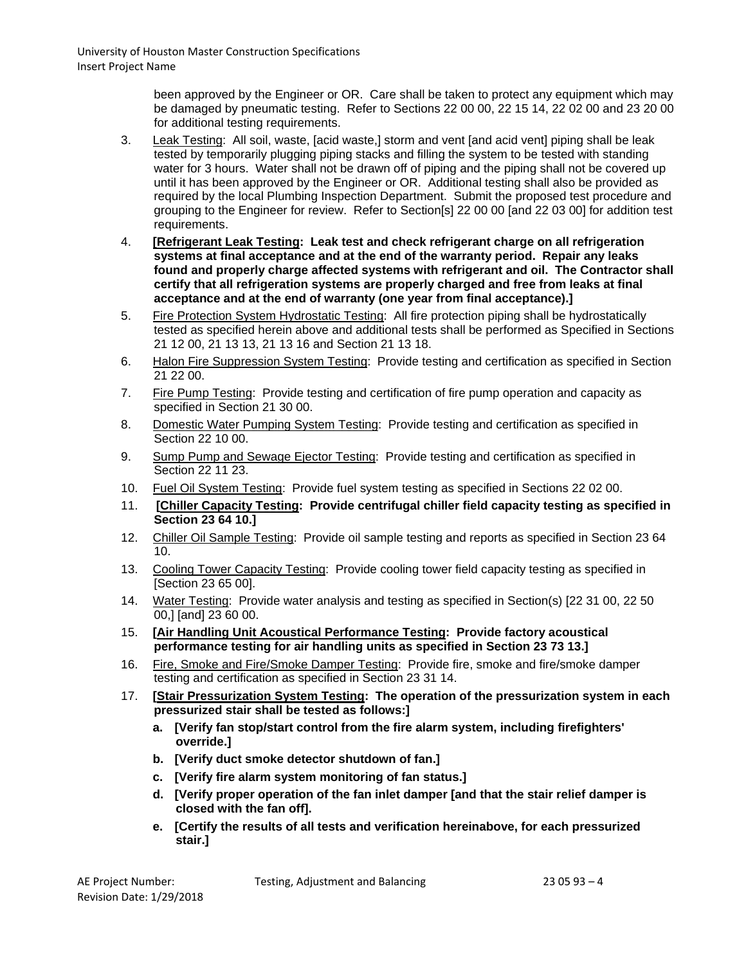been approved by the Engineer or OR. Care shall be taken to protect any equipment which may be damaged by pneumatic testing. Refer to Sections 22 00 00, 22 15 14, 22 02 00 and 23 20 00 for additional testing requirements.

- 3. Leak Testing: All soil, waste, [acid waste,] storm and vent [and acid vent] piping shall be leak tested by temporarily plugging piping stacks and filling the system to be tested with standing water for 3 hours. Water shall not be drawn off of piping and the piping shall not be covered up until it has been approved by the Engineer or OR. Additional testing shall also be provided as required by the local Plumbing Inspection Department. Submit the proposed test procedure and grouping to the Engineer for review. Refer to Section[s] 22 00 00 [and 22 03 00] for addition test requirements.
- 4. **[Refrigerant Leak Testing: Leak test and check refrigerant charge on all refrigeration systems at final acceptance and at the end of the warranty period. Repair any leaks found and properly charge affected systems with refrigerant and oil. The Contractor shall certify that all refrigeration systems are properly charged and free from leaks at final acceptance and at the end of warranty (one year from final acceptance).]**
- 5. Fire Protection System Hydrostatic Testing: All fire protection piping shall be hydrostatically tested as specified herein above and additional tests shall be performed as Specified in Sections 21 12 00, 21 13 13, 21 13 16 and Section 21 13 18.
- 6. Halon Fire Suppression System Testing: Provide testing and certification as specified in Section 21 22 00.
- 7. Fire Pump Testing: Provide testing and certification of fire pump operation and capacity as specified in Section 21 30 00.
- 8. Domestic Water Pumping System Testing: Provide testing and certification as specified in Section 22 10 00.
- 9. Sump Pump and Sewage Ejector Testing: Provide testing and certification as specified in Section 22 11 23.
- 10. Fuel Oil System Testing: Provide fuel system testing as specified in Sections 22 02 00.
- 11. **[Chiller Capacity Testing: Provide centrifugal chiller field capacity testing as specified in Section 23 64 10.]**
- 12. Chiller Oil Sample Testing: Provide oil sample testing and reports as specified in Section 23 64 10.
- 13. Cooling Tower Capacity Testing: Provide cooling tower field capacity testing as specified in [Section 23 65 00].
- 14. Water Testing: Provide water analysis and testing as specified in Section(s) [22 31 00, 22 50 00,] [and] 23 60 00.
- 15. **[Air Handling Unit Acoustical Performance Testing: Provide factory acoustical performance testing for air handling units as specified in Section 23 73 13.]**
- 16. Fire, Smoke and Fire/Smoke Damper Testing: Provide fire, smoke and fire/smoke damper testing and certification as specified in Section 23 31 14.
- 17. **[Stair Pressurization System Testing: The operation of the pressurization system in each pressurized stair shall be tested as follows:]**
	- **a. [Verify fan stop/start control from the fire alarm system, including firefighters' override.]**
	- **b. [Verify duct smoke detector shutdown of fan.]**
	- **c. [Verify fire alarm system monitoring of fan status.]**
	- **d. [Verify proper operation of the fan inlet damper [and that the stair relief damper is closed with the fan off].**
	- **e. [Certify the results of all tests and verification hereinabove, for each pressurized stair.]**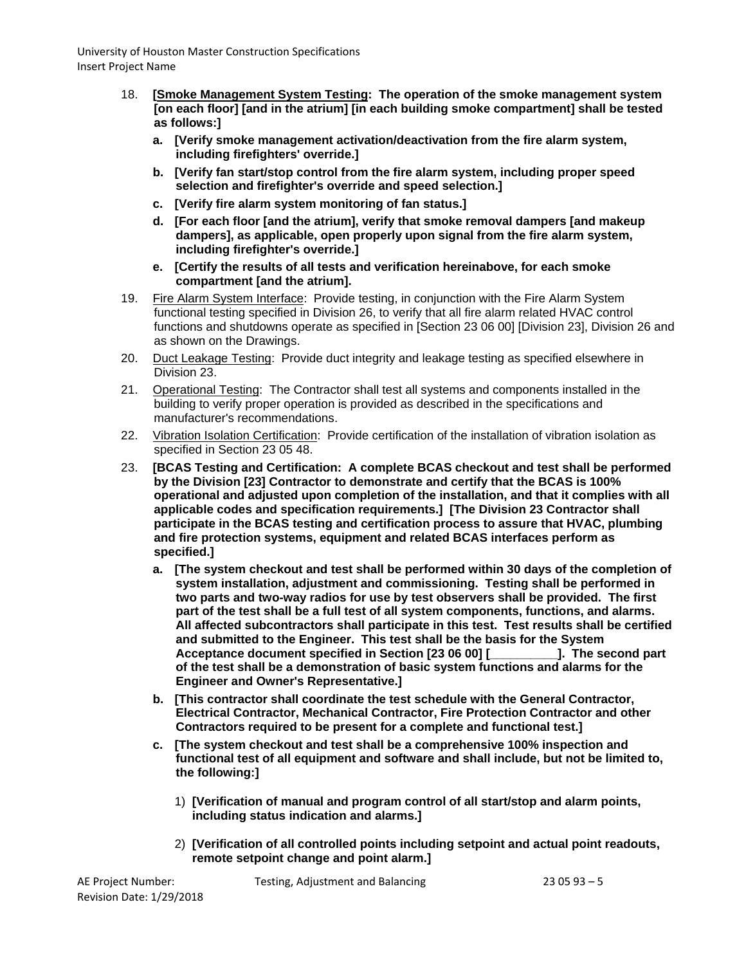- 18. **[Smoke Management System Testing: The operation of the smoke management system [on each floor] [and in the atrium] [in each building smoke compartment] shall be tested as follows:]**
	- **a. [Verify smoke management activation/deactivation from the fire alarm system, including firefighters' override.]**
	- **b. [Verify fan start/stop control from the fire alarm system, including proper speed selection and firefighter's override and speed selection.]**
	- **c. [Verify fire alarm system monitoring of fan status.]**
	- **d. [For each floor [and the atrium], verify that smoke removal dampers [and makeup dampers], as applicable, open properly upon signal from the fire alarm system, including firefighter's override.]**
	- **e. [Certify the results of all tests and verification hereinabove, for each smoke compartment [and the atrium].**
- 19. Fire Alarm System Interface: Provide testing, in conjunction with the Fire Alarm System functional testing specified in Division 26, to verify that all fire alarm related HVAC control functions and shutdowns operate as specified in [Section 23 06 00] [Division 23], Division 26 and as shown on the Drawings.
- 20. Duct Leakage Testing: Provide duct integrity and leakage testing as specified elsewhere in Division 23.
- 21. Operational Testing: The Contractor shall test all systems and components installed in the building to verify proper operation is provided as described in the specifications and manufacturer's recommendations.
- 22. Vibration Isolation Certification: Provide certification of the installation of vibration isolation as specified in Section 23 05 48.
- 23. **[BCAS Testing and Certification: A complete BCAS checkout and test shall be performed by the Division [23] Contractor to demonstrate and certify that the BCAS is 100% operational and adjusted upon completion of the installation, and that it complies with all applicable codes and specification requirements.] [The Division 23 Contractor shall participate in the BCAS testing and certification process to assure that HVAC, plumbing and fire protection systems, equipment and related BCAS interfaces perform as specified.]**
	- **a. [The system checkout and test shall be performed within 30 days of the completion of system installation, adjustment and commissioning. Testing shall be performed in two parts and two-way radios for use by test observers shall be provided. The first part of the test shall be a full test of all system components, functions, and alarms. All affected subcontractors shall participate in this test. Test results shall be certified and submitted to the Engineer. This test shall be the basis for the System Acceptance document specified in Section [23 06 00] [\_\_\_\_\_\_\_\_\_\_]. The second part of the test shall be a demonstration of basic system functions and alarms for the Engineer and Owner's Representative.]**
	- **b. [This contractor shall coordinate the test schedule with the General Contractor, Electrical Contractor, Mechanical Contractor, Fire Protection Contractor and other Contractors required to be present for a complete and functional test.]**
	- **c. [The system checkout and test shall be a comprehensive 100% inspection and functional test of all equipment and software and shall include, but not be limited to, the following:]**
		- 1) **[Verification of manual and program control of all start/stop and alarm points, including status indication and alarms.]**
		- 2) **[Verification of all controlled points including setpoint and actual point readouts, remote setpoint change and point alarm.]**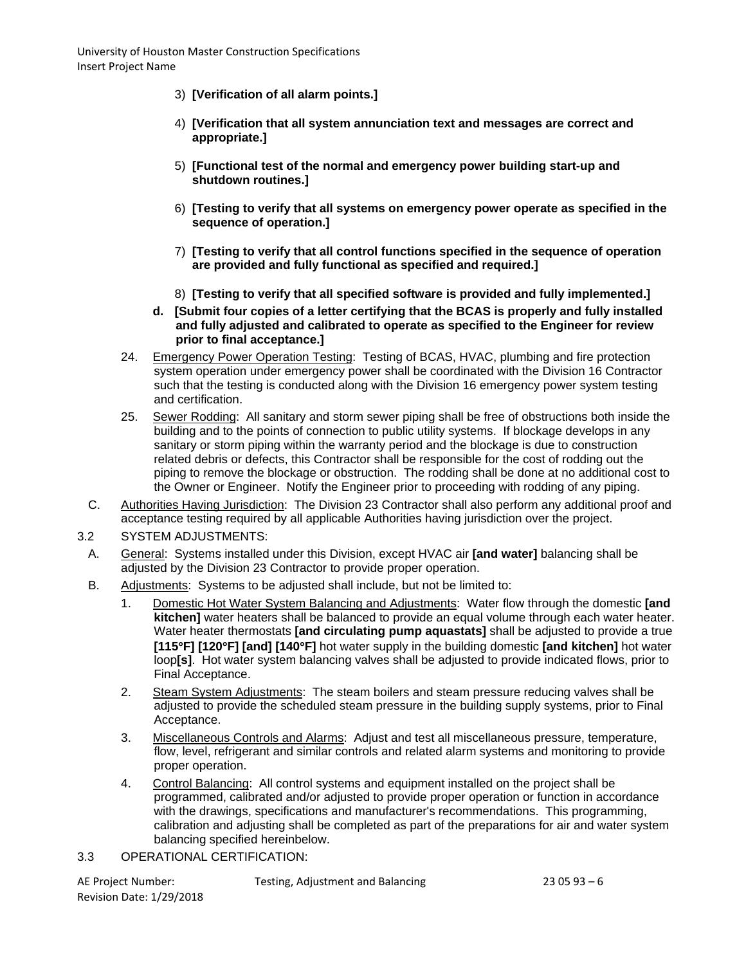- 3) **[Verification of all alarm points.]**
- 4) **[Verification that all system annunciation text and messages are correct and appropriate.]**
- 5) **[Functional test of the normal and emergency power building start-up and shutdown routines.]**
- 6) **[Testing to verify that all systems on emergency power operate as specified in the sequence of operation.]**
- 7) **[Testing to verify that all control functions specified in the sequence of operation are provided and fully functional as specified and required.]**
- 8) **[Testing to verify that all specified software is provided and fully implemented.]**
- **d. [Submit four copies of a letter certifying that the BCAS is properly and fully installed and fully adjusted and calibrated to operate as specified to the Engineer for review prior to final acceptance.]**
- 24. Emergency Power Operation Testing: Testing of BCAS, HVAC, plumbing and fire protection system operation under emergency power shall be coordinated with the Division 16 Contractor such that the testing is conducted along with the Division 16 emergency power system testing and certification.
- 25. Sewer Rodding: All sanitary and storm sewer piping shall be free of obstructions both inside the building and to the points of connection to public utility systems. If blockage develops in any sanitary or storm piping within the warranty period and the blockage is due to construction related debris or defects, this Contractor shall be responsible for the cost of rodding out the piping to remove the blockage or obstruction. The rodding shall be done at no additional cost to the Owner or Engineer. Notify the Engineer prior to proceeding with rodding of any piping.
- C. Authorities Having Jurisdiction: The Division 23 Contractor shall also perform any additional proof and acceptance testing required by all applicable Authorities having jurisdiction over the project.
- 3.2 SYSTEM ADJUSTMENTS:
- A. General: Systems installed under this Division, except HVAC air **[and water]** balancing shall be adjusted by the Division 23 Contractor to provide proper operation.
- B. Adjustments: Systems to be adjusted shall include, but not be limited to:
	- 1. Domestic Hot Water System Balancing and Adjustments: Water flow through the domestic **[and kitchen]** water heaters shall be balanced to provide an equal volume through each water heater. Water heater thermostats **[and circulating pump aquastats]** shall be adjusted to provide a true **[115**°**F] [120**°**F] [and] [140**°**F]** hot water supply in the building domestic **[and kitchen]** hot water loop**[s]**. Hot water system balancing valves shall be adjusted to provide indicated flows, prior to Final Acceptance.
	- 2. Steam System Adjustments: The steam boilers and steam pressure reducing valves shall be adjusted to provide the scheduled steam pressure in the building supply systems, prior to Final Acceptance.
	- 3. Miscellaneous Controls and Alarms: Adjust and test all miscellaneous pressure, temperature, flow, level, refrigerant and similar controls and related alarm systems and monitoring to provide proper operation.
	- 4. Control Balancing: All control systems and equipment installed on the project shall be programmed, calibrated and/or adjusted to provide proper operation or function in accordance with the drawings, specifications and manufacturer's recommendations. This programming, calibration and adjusting shall be completed as part of the preparations for air and water system balancing specified hereinbelow.
- 3.3 OPERATIONAL CERTIFICATION:

| AE Project Number:       |  |
|--------------------------|--|
| Revision Date: 1/29/2018 |  |

Testing, Adjustment and Balancing  $230593 - 6$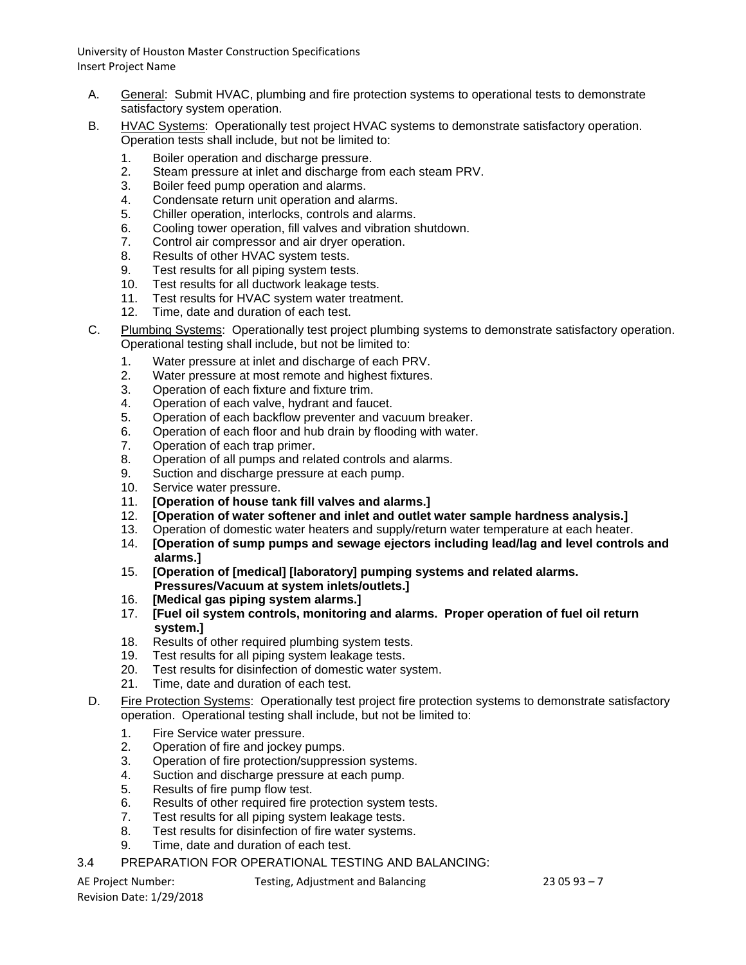- A. General: Submit HVAC, plumbing and fire protection systems to operational tests to demonstrate satisfactory system operation.
- B. HVAC Systems: Operationally test project HVAC systems to demonstrate satisfactory operation. Operation tests shall include, but not be limited to:
	- 1. Boiler operation and discharge pressure.
	- 2. Steam pressure at inlet and discharge from each steam PRV.
	- 3. Boiler feed pump operation and alarms.
	- 4. Condensate return unit operation and alarms.
	- 5. Chiller operation, interlocks, controls and alarms.
	- 6. Cooling tower operation, fill valves and vibration shutdown.
	- 7. Control air compressor and air dryer operation.
	- 8. Results of other HVAC system tests.
	- 9. Test results for all piping system tests.
	- 10. Test results for all ductwork leakage tests.
	- 11. Test results for HVAC system water treatment.
	- 12. Time, date and duration of each test.
- C. Plumbing Systems: Operationally test project plumbing systems to demonstrate satisfactory operation. Operational testing shall include, but not be limited to:
	- 1. Water pressure at inlet and discharge of each PRV.
	- 2. Water pressure at most remote and highest fixtures.
	- 3. Operation of each fixture and fixture trim.
	- 4. Operation of each valve, hydrant and faucet.
	- 5. Operation of each backflow preventer and vacuum breaker.
	- 6. Operation of each floor and hub drain by flooding with water.<br>7. Operation of each trap primer.
	- Operation of each trap primer.
	- 8. Operation of all pumps and related controls and alarms.
	- 9. Suction and discharge pressure at each pump.
	- 10. Service water pressure.
	- 11. **[Operation of house tank fill valves and alarms.]**
	- 12. **[Operation of water softener and inlet and outlet water sample hardness analysis.]**
	- 13. Operation of domestic water heaters and supply/return water temperature at each heater.
	- 14. **[Operation of sump pumps and sewage ejectors including lead/lag and level controls and alarms.]**
	- 15. **[Operation of [medical] [laboratory] pumping systems and related alarms. Pressures/Vacuum at system inlets/outlets.]**
	- 16. **[Medical gas piping system alarms.]**
	- 17. **[Fuel oil system controls, monitoring and alarms. Proper operation of fuel oil return system.]**
	- 18. Results of other required plumbing system tests.
	- 19. Test results for all piping system leakage tests.
	- 20. Test results for disinfection of domestic water system.
	- 21. Time, date and duration of each test.
- D. Fire Protection Systems: Operationally test project fire protection systems to demonstrate satisfactory operation. Operational testing shall include, but not be limited to:
	- 1. Fire Service water pressure.
	- 2. Operation of fire and jockey pumps.
	- 3. Operation of fire protection/suppression systems.
	- 4. Suction and discharge pressure at each pump.
	- 5. Results of fire pump flow test.<br>6. Results of other required fire port
	- Results of other required fire protection system tests.
	- 7. Test results for all piping system leakage tests.<br>8. Test results for disinfection of fire water system
	- Test results for disinfection of fire water systems.
	- 9. Time, date and duration of each test.
- 3.4 PREPARATION FOR OPERATIONAL TESTING AND BALANCING:

Revision Date: 1/29/2018

AE Project Number: Testing, Adjustment and Balancing 23 05 93 – 7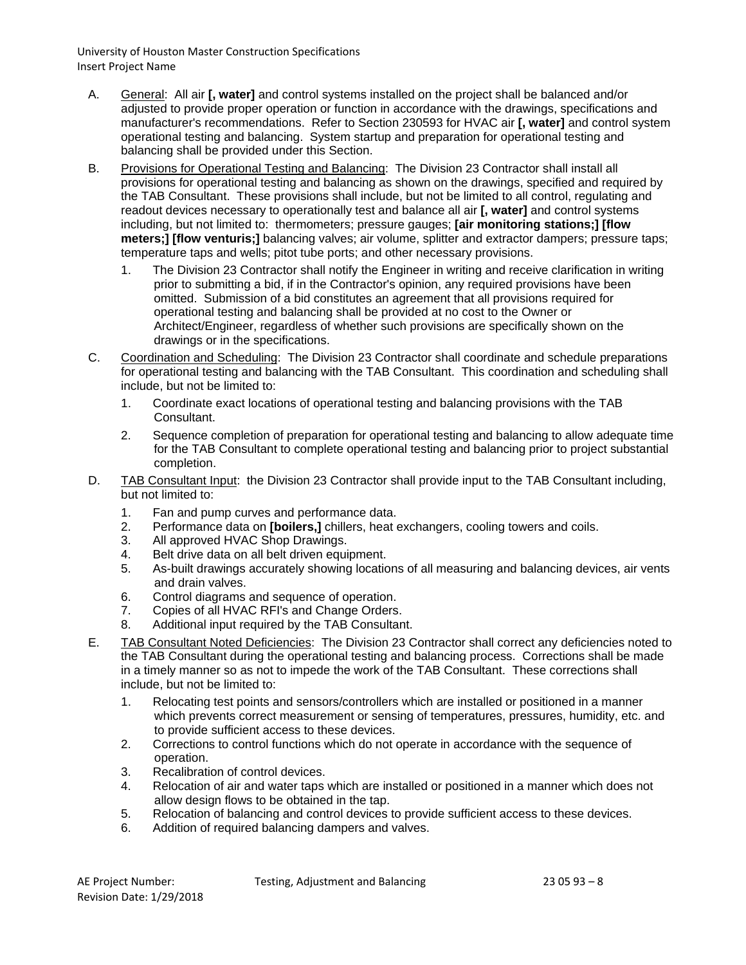- A. General: All air **[, water]** and control systems installed on the project shall be balanced and/or adjusted to provide proper operation or function in accordance with the drawings, specifications and manufacturer's recommendations. Refer to Section 230593 for HVAC air **[, water]** and control system operational testing and balancing. System startup and preparation for operational testing and balancing shall be provided under this Section.
- B. Provisions for Operational Testing and Balancing: The Division 23 Contractor shall install all provisions for operational testing and balancing as shown on the drawings, specified and required by the TAB Consultant. These provisions shall include, but not be limited to all control, regulating and readout devices necessary to operationally test and balance all air **[, water]** and control systems including, but not limited to: thermometers; pressure gauges; **[air monitoring stations;] [flow meters;] [flow venturis;]** balancing valves; air volume, splitter and extractor dampers; pressure taps; temperature taps and wells; pitot tube ports; and other necessary provisions.
	- 1. The Division 23 Contractor shall notify the Engineer in writing and receive clarification in writing prior to submitting a bid, if in the Contractor's opinion, any required provisions have been omitted. Submission of a bid constitutes an agreement that all provisions required for operational testing and balancing shall be provided at no cost to the Owner or Architect/Engineer, regardless of whether such provisions are specifically shown on the drawings or in the specifications.
- C. Coordination and Scheduling: The Division 23 Contractor shall coordinate and schedule preparations for operational testing and balancing with the TAB Consultant. This coordination and scheduling shall include, but not be limited to:
	- 1. Coordinate exact locations of operational testing and balancing provisions with the TAB Consultant.
	- 2. Sequence completion of preparation for operational testing and balancing to allow adequate time for the TAB Consultant to complete operational testing and balancing prior to project substantial completion.
- D. TAB Consultant Input: the Division 23 Contractor shall provide input to the TAB Consultant including, but not limited to:
	- 1. Fan and pump curves and performance data.
	- 2. Performance data on **[boilers,]** chillers, heat exchangers, cooling towers and coils.
	- 3. All approved HVAC Shop Drawings.
	- 4. Belt drive data on all belt driven equipment.
	- 5. As-built drawings accurately showing locations of all measuring and balancing devices, air vents and drain valves.
	- 6. Control diagrams and sequence of operation.
	- 7. Copies of all HVAC RFI's and Change Orders.
	- 8. Additional input required by the TAB Consultant.
- E. TAB Consultant Noted Deficiencies: The Division 23 Contractor shall correct any deficiencies noted to the TAB Consultant during the operational testing and balancing process. Corrections shall be made in a timely manner so as not to impede the work of the TAB Consultant. These corrections shall include, but not be limited to:
	- 1. Relocating test points and sensors/controllers which are installed or positioned in a manner which prevents correct measurement or sensing of temperatures, pressures, humidity, etc. and to provide sufficient access to these devices.
	- 2. Corrections to control functions which do not operate in accordance with the sequence of operation.
	- 3. Recalibration of control devices.
	- 4. Relocation of air and water taps which are installed or positioned in a manner which does not allow design flows to be obtained in the tap.
	- 5. Relocation of balancing and control devices to provide sufficient access to these devices.
	- 6. Addition of required balancing dampers and valves.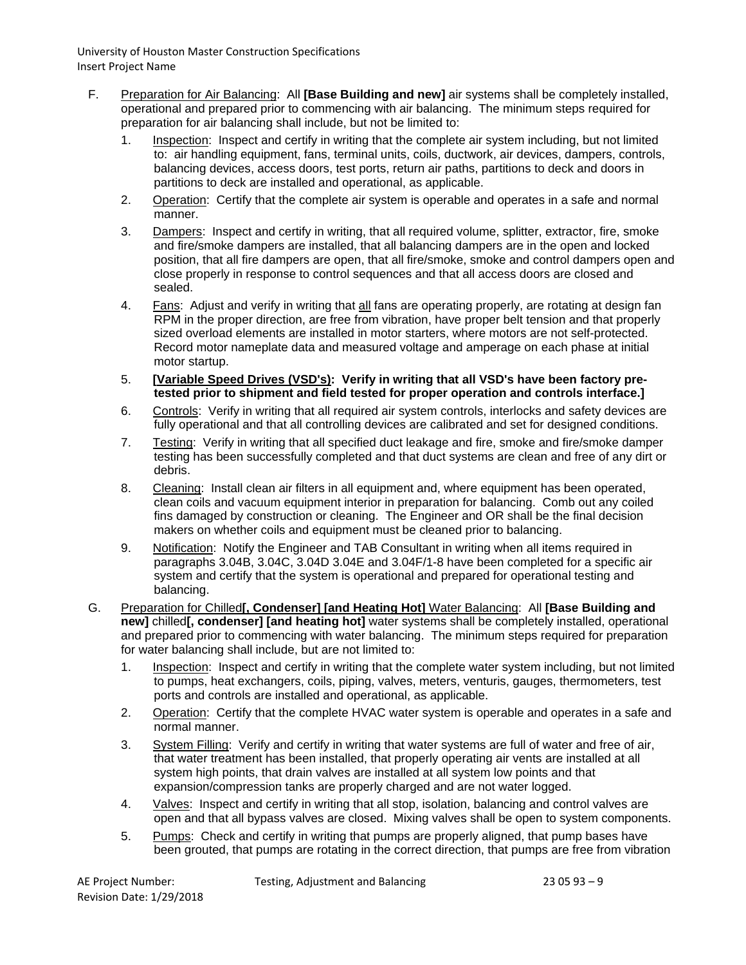- F. Preparation for Air Balancing: All **[Base Building and new]** air systems shall be completely installed, operational and prepared prior to commencing with air balancing. The minimum steps required for preparation for air balancing shall include, but not be limited to:
	- 1. Inspection: Inspect and certify in writing that the complete air system including, but not limited to: air handling equipment, fans, terminal units, coils, ductwork, air devices, dampers, controls, balancing devices, access doors, test ports, return air paths, partitions to deck and doors in partitions to deck are installed and operational, as applicable.
	- 2. Operation: Certify that the complete air system is operable and operates in a safe and normal manner.
	- 3. Dampers: Inspect and certify in writing, that all required volume, splitter, extractor, fire, smoke and fire/smoke dampers are installed, that all balancing dampers are in the open and locked position, that all fire dampers are open, that all fire/smoke, smoke and control dampers open and close properly in response to control sequences and that all access doors are closed and sealed.
	- 4. Fans: Adjust and verify in writing that all fans are operating properly, are rotating at design fan RPM in the proper direction, are free from vibration, have proper belt tension and that properly sized overload elements are installed in motor starters, where motors are not self-protected. Record motor nameplate data and measured voltage and amperage on each phase at initial motor startup.
	- 5. **[Variable Speed Drives (VSD's): Verify in writing that all VSD's have been factory pretested prior to shipment and field tested for proper operation and controls interface.]**
	- 6. Controls: Verify in writing that all required air system controls, interlocks and safety devices are fully operational and that all controlling devices are calibrated and set for designed conditions.
	- 7. Testing: Verify in writing that all specified duct leakage and fire, smoke and fire/smoke damper testing has been successfully completed and that duct systems are clean and free of any dirt or debris.
	- 8. Cleaning: Install clean air filters in all equipment and, where equipment has been operated, clean coils and vacuum equipment interior in preparation for balancing. Comb out any coiled fins damaged by construction or cleaning. The Engineer and OR shall be the final decision makers on whether coils and equipment must be cleaned prior to balancing.
	- 9. Notification: Notify the Engineer and TAB Consultant in writing when all items required in paragraphs 3.04B, 3.04C, 3.04D 3.04E and 3.04F/1-8 have been completed for a specific air system and certify that the system is operational and prepared for operational testing and balancing.
- G. Preparation for Chilled**[, Condenser] [and Heating Hot]** Water Balancing: All **[Base Building and new]** chilled**[, condenser] [and heating hot]** water systems shall be completely installed, operational and prepared prior to commencing with water balancing. The minimum steps required for preparation for water balancing shall include, but are not limited to:
	- 1. Inspection: Inspect and certify in writing that the complete water system including, but not limited to pumps, heat exchangers, coils, piping, valves, meters, venturis, gauges, thermometers, test ports and controls are installed and operational, as applicable.
	- 2. Operation: Certify that the complete HVAC water system is operable and operates in a safe and normal manner.
	- 3. System Filling: Verify and certify in writing that water systems are full of water and free of air, that water treatment has been installed, that properly operating air vents are installed at all system high points, that drain valves are installed at all system low points and that expansion/compression tanks are properly charged and are not water logged.
	- 4. Valves: Inspect and certify in writing that all stop, isolation, balancing and control valves are open and that all bypass valves are closed. Mixing valves shall be open to system components.
	- 5. Pumps: Check and certify in writing that pumps are properly aligned, that pump bases have been grouted, that pumps are rotating in the correct direction, that pumps are free from vibration